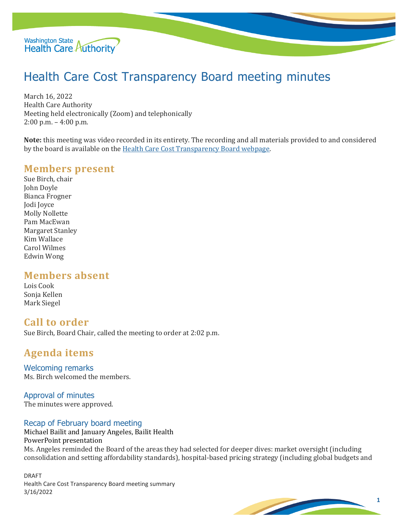

# Health Care Cost Transparency Board meeting minutes

March 16, 2022 Health Care Authority Meeting held electronically (Zoom) and telephonically 2:00 p.m. – 4:00 p.m.

**Note:** this meeting was video recorded in its entirety. The recording and all materials provided to and considered by the board is available on th[e Health Care Cost Transparency Board webpage.](https://www.hca.wa.gov/about-hca/health-care-cost-transparency-board)

## **Members present**

Sue Birch, chair John Doyle Bianca Frogner Jodi Joyce Molly Nollette Pam MacEwan Margaret Stanley Kim Wallace Carol Wilmes Edwin Wong

# **Members absent**

Lois Cook Sonja Kellen Mark Siegel

## **Call to order**

Sue Birch, Board Chair, called the meeting to order at 2:02 p.m.

# **Agenda items**

Welcoming remarks Ms. Birch welcomed the members.

Approval of minutes The minutes were approved.

#### Recap of February board meeting

Michael Bailit and January Angeles, Bailit Health PowerPoint presentation Ms. Angeles reminded the Board of the areas they had selected for deeper dives: market oversight (including consolidation and setting affordability standards), hospital-based pricing strategy (including global budgets and

DRAFT Health Care Cost Transparency Board meeting summary 3/16/2022

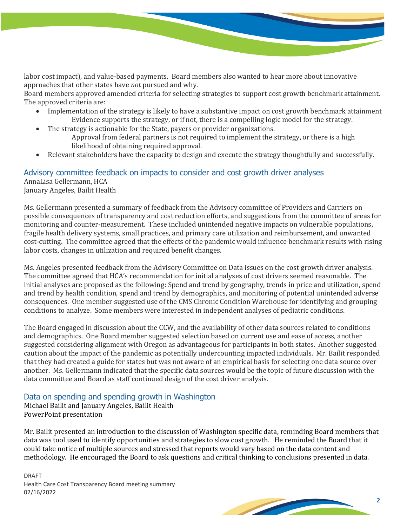labor cost impact), and value-based payments. Board members also wanted to hear more about innovative approaches that other states have *not* pursued and why.

Board members approved amended criteria for selecting strategies to support cost growth benchmark attainment. The approved criteria are:

- Implementation of the strategy is likely to have a substantive impact on cost growth benchmark attainment Evidence supports the strategy, or if not, there is a compelling logic model for the strategy.
- The strategy is actionable for the State, payers or provider organizations.
	- Approval from federal partners is not required to implement the strategy, or there is a high likelihood of obtaining required approval.
- Relevant stakeholders have the capacity to design and execute the strategy thoughtfully and successfully.

## Advisory committee feedback on impacts to consider and cost growth driver analyses AnnaLisa Gellermann, HCA

January Angeles, Bailit Health

Ms. Gellermann presented a summary of feedback from the Advisory committee of Providers and Carriers on possible consequences of transparency and cost reduction efforts, and suggestions from the committee of areas for monitoring and counter-measurement. These included unintended negative impacts on vulnerable populations, fragile health delivery systems, small practices, and primary care utilization and reimbursement, and unwanted cost-cutting. The committee agreed that the effects of the pandemic would influence benchmark results with rising labor costs, changes in utilization and required benefit changes.

Ms. Angeles presented feedback from the Advisory Committee on Data issues on the cost growth driver analysis. The committee agreed that HCA's recommendation for initial analyses of cost drivers seemed reasonable. The initial analyses are proposed as the following: Spend and trend by geography, trends in price and utilization, spend and trend by health condition, spend and trend by demographics, and monitoring of potential unintended adverse consequences. One member suggested use of the CMS Chronic Condition Warehouse for identifying and grouping conditions to analyze. Some members were interested in independent analyses of pediatric conditions.

The Board engaged in discussion about the CCW, and the availability of other data sources related to conditions and demographics. One Board member suggested selection based on current use and ease of access, another suggested considering alignment with Oregon as advantageous for participants in both states. Another suggested caution about the impact of the pandemic as potentially undercounting impacted individuals. Mr. Bailit responded that they had created a guide for states but was not aware of an empirical basis for selecting one data source over another. Ms. Gellermann indicated that the specific data sources would be the topic of future discussion with the data committee and Board as staff continued design of the cost driver analysis.

## Data on spending and spending growth in Washington

Michael Bailit and January Angeles, Bailit Health PowerPoint presentation

Mr. Bailit presented an introduction to the discussion of Washington specific data, reminding Board members that data was tool used to identify opportunities and strategies to slow cost growth. He reminded the Board that it could take notice of multiple sources and stressed that reports would vary based on the data content and methodology. He encouraged the Board to ask questions and critical thinking to conclusions presented in data.

DRAFT Health Care Cost Transparency Board meeting summary 02/16/2022

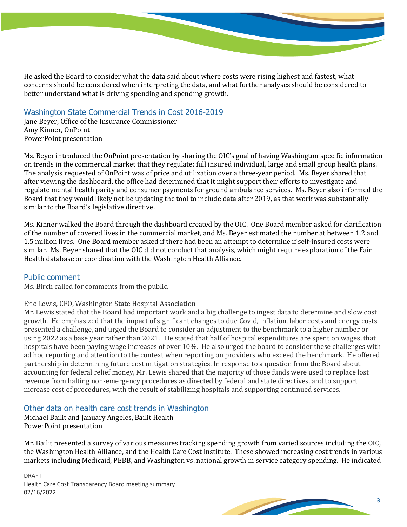He asked the Board to consider what the data said about where costs were rising highest and fastest, what concerns should be considered when interpreting the data, and what further analyses should be considered to better understand what is driving spending and spending growth.

#### Washington State Commercial Trends in Cost 2016-2019

Jane Beyer, Office of the Insurance Commissioner Amy Kinner, OnPoint PowerPoint presentation

Ms. Beyer introduced the OnPoint presentation by sharing the OIC's goal of having Washington specific information on trends in the commercial market that they regulate: full insured individual, large and small group health plans. The analysis requested of OnPoint was of price and utilization over a three-year period. Ms. Beyer shared that after viewing the dashboard, the office had determined that it might support their efforts to investigate and regulate mental health parity and consumer payments for ground ambulance services. Ms. Beyer also informed the Board that they would likely not be updating the tool to include data after 2019, as that work was substantially similar to the Board's legislative directive.

Ms. Kinner walked the Board through the dashboard created by the OIC. One Board member asked for clarification of the number of covered lives in the commercial market, and Ms. Beyer estimated the number at between 1.2 and 1.5 million lives. One Board member asked if there had been an attempt to determine if self-insured costs were similar. Ms. Beyer shared that the OIC did not conduct that analysis, which might require exploration of the Fair Health database or coordination with the Washington Health Alliance.

#### Public comment

Ms. Birch called for comments from the public.

#### Eric Lewis, CFO, Washington State Hospital Association

Mr. Lewis stated that the Board had important work and a big challenge to ingest data to determine and slow cost growth. He emphasized that the impact of significant changes to due Covid, inflation, labor costs and energy costs presented a challenge, and urged the Board to consider an adjustment to the benchmark to a higher number or using 2022 as a base year rather than 2021. He stated that half of hospital expenditures are spent on wages, that hospitals have been paying wage increases of over 10%. He also urged the board to consider these challenges with ad hoc reporting and attention to the context when reporting on providers who exceed the benchmark. He offered partnership in determining future cost mitigation strategies. In response to a question from the Board about accounting for federal relief money, Mr. Lewis shared that the majority of those funds were used to replace lost revenue from halting non-emergency procedures as directed by federal and state directives, and to support increase cost of procedures, with the result of stabilizing hospitals and supporting continued services.

#### Other data on health care cost trends in Washington

Michael Bailit and January Angeles, Bailit Health PowerPoint presentation

Mr. Bailit presented a survey of various measures tracking spending growth from varied sources including the OIC, the Washington Health Alliance, and the Health Care Cost Institute. These showed increasing cost trends in various markets including Medicaid, PEBB, and Washington vs. national growth in service category spending. He indicated

DRAFT Health Care Cost Transparency Board meeting summary 02/16/2022

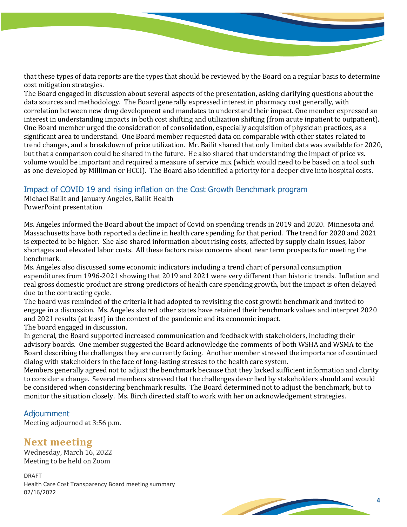that these types of data reports are the types that should be reviewed by the Board on a regular basis to determine cost mitigation strategies.

The Board engaged in discussion about several aspects of the presentation, asking clarifying questions about the data sources and methodology. The Board generally expressed interest in pharmacy cost generally, with correlation between new drug development and mandates to understand their impact. One member expressed an interest in understanding impacts in both cost shifting and utilization shifting (from acute inpatient to outpatient). One Board member urged the consideration of consolidation, especially acquisition of physician practices, as a significant area to understand. One Board member requested data on comparable with other states related to trend changes, and a breakdown of price utilization. Mr. Bailit shared that only limited data was available for 2020, but that a comparison could be shared in the future. He also shared that understanding the impact of price vs. volume would be important and required a measure of service mix (which would need to be based on a tool such as one developed by Milliman or HCCI). The Board also identified a priority for a deeper dive into hospital costs.

## Impact of COVID 19 and rising inflation on the Cost Growth Benchmark program

Michael Bailit and January Angeles, Bailit Health PowerPoint presentation

Ms. Angeles informed the Board about the impact of Covid on spending trends in 2019 and 2020. Minnesota and Massachusetts have both reported a decline in health care spending for that period. The trend for 2020 and 2021 is expected to be higher. She also shared information about rising costs, affected by supply chain issues, labor shortages and elevated labor costs. All these factors raise concerns about near term prospects for meeting the benchmark.

Ms. Angeles also discussed some economic indicators including a trend chart of personal consumption expenditures from 1996-2021 showing that 2019 and 2021 were very different than historic trends. Inflation and real gross domestic product are strong predictors of health care spending growth, but the impact is often delayed due to the contracting cycle.

The board was reminded of the criteria it had adopted to revisiting the cost growth benchmark and invited to engage in a discussion. Ms. Angeles shared other states have retained their benchmark values and interpret 2020 and 2021 results (at least) in the context of the pandemic and its economic impact. The board engaged in discussion.

In general, the Board supported increased communication and feedback with stakeholders, including their advisory boards. One member suggested the Board acknowledge the comments of both WSHA and WSMA to the Board describing the challenges they are currently facing. Another member stressed the importance of continued dialog with stakeholders in the face of long-lasting stresses to the health care system.

Members generally agreed not to adjust the benchmark because that they lacked sufficient information and clarity to consider a change. Several members stressed that the challenges described by stakeholders should and would be considered when considering benchmark results. The Board determined not to adjust the benchmark, but to monitor the situation closely. Ms. Birch directed staff to work with her on acknowledgement strategies.

#### Adjournment

Meeting adjourned at 3:56 p.m.

# **Next meeting**

Wednesday, March 16, 2022 Meeting to be held on Zoom

DRAFT Health Care Cost Transparency Board meeting summary 02/16/2022